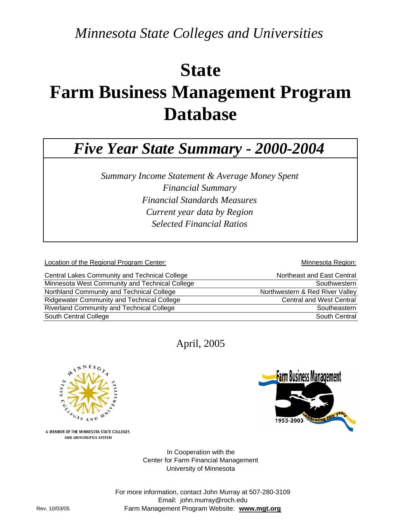*Minnesota State Colleges and Universities*

# **State Farm Business Management Program Database**

# *Five Year State Summary - 2000-2004*

*Financial Standards Measures Selected Financial Ratios Summary Income Statement & Average Money Spent Financial Summary Current year data by Region*

Location of the Regional Program Center: **Minnesota Region:** Minnesota Region:

| Central Lakes Community and Technical College     | Northeast and East Central      |
|---------------------------------------------------|---------------------------------|
| Minnesota West Community and Technical College    | Southwestern                    |
| Northland Community and Technical College         | Northwestern & Red River Valley |
| <b>Ridgewater Community and Technical College</b> | <b>Central and West Central</b> |
| <b>Riverland Community and Technical College</b>  | Southeastern                    |
| South Central College                             | South Central                   |

April, 2005



**Farm Business Management** 1953-2003

A MEMBER OF THE MINNESOTA STATE COLLEGES AND UNIVERSITIES SYSTEM

> Center for Farm Financial Management University of Minnesota In Cooperation with the

For more information, contact John Murray at 507-280-3109 Email: john.murray@roch.edu Farm Management Program Website: **www.mgt.org**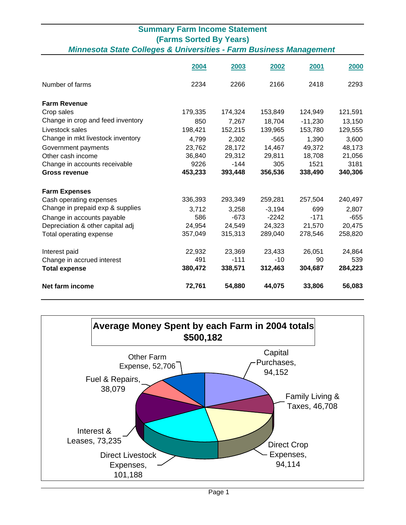#### **Summary Farm Income Statement (Farms Sorted By Years)** *Minnesota State Colleges & Universities - Farm Business Management*

|                                   | 2004    | 2003    | 2002     | 2001      | 2000    |
|-----------------------------------|---------|---------|----------|-----------|---------|
| Number of farms                   | 2234    | 2266    | 2166     | 2418      | 2293    |
| <b>Farm Revenue</b>               |         |         |          |           |         |
| Crop sales                        | 179,335 | 174,324 | 153,849  | 124,949   | 121,591 |
| Change in crop and feed inventory | 850     | 7,267   | 18,704   | $-11,230$ | 13,150  |
| Livestock sales                   | 198,421 | 152,215 | 139,965  | 153,780   | 129,555 |
| Change in mkt livestock inventory | 4,799   | 2,302   | $-565$   | 1,390     | 3,600   |
| Government payments               | 23,762  | 28,172  | 14,467   | 49,372    | 48,173  |
| Other cash income                 | 36,840  | 29,312  | 29,811   | 18,708    | 21,056  |
| Change in accounts receivable     | 9226    | $-144$  | 305      | 1521      | 3181    |
| <b>Gross revenue</b>              | 453,233 | 393,448 | 356,536  | 338,490   | 340,306 |
| <b>Farm Expenses</b>              |         |         |          |           |         |
| Cash operating expenses           | 336,393 | 293,349 | 259,281  | 257,504   | 240,497 |
| Change in prepaid exp & supplies  | 3,712   | 3,258   | $-3,194$ | 699       | 2,807   |
| Change in accounts payable        | 586     | $-673$  | $-2242$  | $-171$    | $-655$  |
| Depreciation & other capital adj  | 24,954  | 24,549  | 24,323   | 21,570    | 20,475  |
| Total operating expense           | 357,049 | 315,313 | 289,040  | 278,546   | 258,820 |
| Interest paid                     | 22,932  | 23,369  | 23,433   | 26,051    | 24,864  |
| Change in accrued interest        | 491     | $-111$  | $-10$    | 90        | 539     |
| <b>Total expense</b>              | 380,472 | 338,571 | 312,463  | 304,687   | 284,223 |
| Net farm income                   | 72,761  | 54,880  | 44,075   | 33,806    | 56,083  |

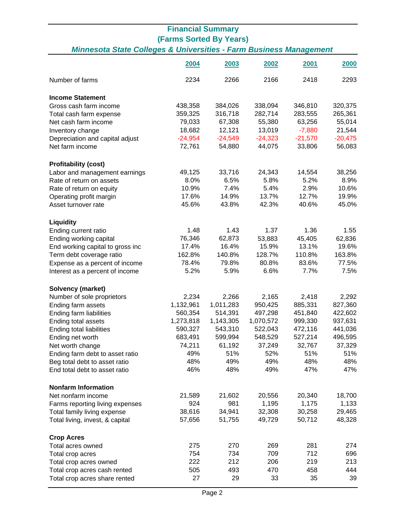### **Financial Summary (Farms Sorted By Years)** *Minnesota State Colleges & Universities - Farm Business Management*

|                                  | 2004      | 2003      | 2002      | 2001      | 2000      |
|----------------------------------|-----------|-----------|-----------|-----------|-----------|
| Number of farms                  | 2234      | 2266      | 2166      | 2418      | 2293      |
| <b>Income Statement</b>          |           |           |           |           |           |
| Gross cash farm income           | 438,358   | 384,026   | 338,094   | 346,810   | 320,375   |
| Total cash farm expense          | 359,325   | 316,718   | 282,714   | 283,555   | 265,361   |
| Net cash farm income             | 79,033    | 67,308    | 55,380    | 63,256    | 55,014    |
| Inventory change                 | 18,682    | 12,121    | 13,019    | $-7,880$  | 21,544    |
| Depreciation and capital adjust  | $-24,954$ | $-24,549$ | $-24,323$ | $-21,570$ | $-20,475$ |
| Net farm income                  | 72,761    | 54,880    | 44,075    | 33,806    | 56,083    |
| <b>Profitability (cost)</b>      |           |           |           |           |           |
| Labor and management earnings    | 49,125    | 33,716    | 24,343    | 14,554    | 38,256    |
| Rate of return on assets         | 8.0%      | 6.5%      | 5.8%      | 5.2%      | 8.9%      |
| Rate of return on equity         | 10.9%     | 7.4%      | 5.4%      | 2.9%      | 10.6%     |
| Operating profit margin          | 17.6%     | 14.9%     | 13.7%     | 12.7%     | 19.9%     |
| Asset turnover rate              | 45.6%     | 43.8%     | 42.3%     | 40.6%     | 45.0%     |
| <b>Liquidity</b>                 |           |           |           |           |           |
| Ending current ratio             | 1.48      | 1.43      | 1.37      | 1.36      | 1.55      |
| Ending working capital           | 76,346    | 62,873    | 53,883    | 45,405    | 62,836    |
| End working capital to gross inc | 17.4%     | 16.4%     | 15.9%     | 13.1%     | 19.6%     |
| Term debt coverage ratio         | 162.8%    | 140.8%    | 128.7%    | 110.8%    | 163.8%    |
| Expense as a percent of income   | 78.4%     | 79.8%     | 80.8%     | 83.6%     | 77.5%     |
| Interest as a percent of income  | 5.2%      | 5.9%      | 6.6%      | 7.7%      | 7.5%      |
| <b>Solvency (market)</b>         |           |           |           |           |           |
| Number of sole proprietors       | 2,234     | 2,266     | 2,165     | 2,418     | 2,292     |
| Ending farm assets               | 1,132,961 | 1,011,283 | 950,425   | 885,331   | 827,360   |
| Ending farm liabilities          | 560,354   | 514,391   | 497,298   | 451,840   | 422,602   |
| Ending total assets              | 1,273,818 | 1,143,305 | 1,070,572 | 999,330   | 937,631   |
| Ending total liabilities         | 590,327   | 543,310   | 522,043   | 472,116   | 441,036   |
| Ending net worth                 | 683,491   | 599,994   | 548,529   | 527,214   | 496,595   |
| Net worth change                 | 74,211    | 61,192    | 37,249    | 32,767    | 37,329    |
| Ending farm debt to asset ratio  | 49%       | 51%       | 52%       | 51%       | 51%       |
| Beg total debt to asset ratio    | 48%       | 49%       | 49%       | 48%       | 48%       |
| End total debt to asset ratio    | 46%       | 48%       | 49%       | 47%       | 47%       |
| <b>Nonfarm Information</b>       |           |           |           |           |           |
| Net nonfarm income               | 21,589    | 21,602    | 20,556    | 20,340    | 18,700    |
| Farms reporting living expenses  | 924       | 981       | 1,195     | 1,175     | 1,133     |
| Total family living expense      | 38,616    | 34,941    | 32,308    | 30,258    | 29,465    |
| Total living, invest, & capital  | 57,656    | 51,755    | 49,729    | 50,712    | 48,328    |
| <b>Crop Acres</b>                |           |           |           |           |           |
| Total acres owned                | 275       | 270       | 269       | 281       | 274       |
| Total crop acres                 | 754       | 734       | 709       | 712       | 696       |
| Total crop acres owned           | 222       | 212       | 206       | 219       | 213       |
| Total crop acres cash rented     | 505       | 493       | 470       | 458       | 444       |
| Total crop acres share rented    | 27        | 29        | 33        | 35        | 39        |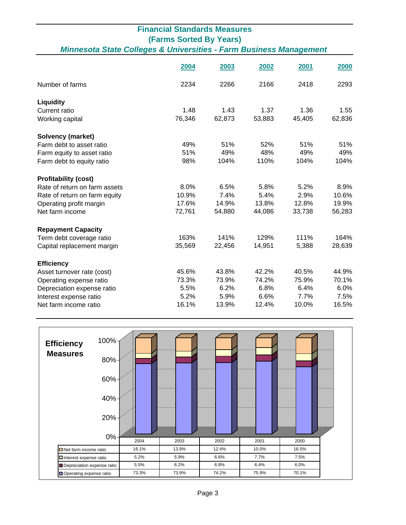|                                                                               | <b>Financial Standards Measures</b> |        |        |        |        |
|-------------------------------------------------------------------------------|-------------------------------------|--------|--------|--------|--------|
| <b>(Farms Sorted By Years)</b>                                                |                                     |        |        |        |        |
| <b>Minnesota State Colleges &amp; Universities - Farm Business Management</b> |                                     |        |        |        |        |
|                                                                               |                                     |        |        |        |        |
|                                                                               | 2004                                | 2003   | 2002   | 2001   | 2000   |
| Number of farms                                                               | 2234                                | 2266   | 2166   | 2418   | 2293   |
| Liquidity                                                                     |                                     |        |        |        |        |
| <b>Current ratio</b>                                                          | 1.48                                | 1.43   | 1.37   | 1.36   | 1.55   |
| Working capital                                                               | 76,346                              | 62,873 | 53,883 | 45,405 | 62,836 |
| <b>Solvency (market)</b>                                                      |                                     |        |        |        |        |
| Farm debt to asset ratio                                                      | 49%                                 | 51%    | 52%    | 51%    | 51%    |
| Farm equity to asset ratio                                                    | 51%                                 | 49%    | 48%    | 49%    | 49%    |
| Farm debt to equity ratio                                                     | 98%                                 | 104%   | 110%   | 104%   | 104%   |
| <b>Profitability (cost)</b>                                                   |                                     |        |        |        |        |
| Rate of return on farm assets                                                 | 8.0%                                | 6.5%   | 5.8%   | 5.2%   | 8.9%   |
| Rate of return on farm equity                                                 | 10.9%                               | 7.4%   | 5.4%   | 2.9%   | 10.6%  |
| Operating profit margin                                                       | 17.6%                               | 14.9%  | 13.8%  | 12.8%  | 19.9%  |
| Net farm income                                                               | 72,761                              | 54,880 | 44,086 | 33,738 | 56,283 |
| <b>Repayment Capacity</b>                                                     |                                     |        |        |        |        |
| Term debt coverage ratio                                                      | 163%                                | 141%   | 129%   | 111%   | 164%   |
| Capital replacement margin                                                    | 35,569                              | 22,456 | 14,951 | 5,388  | 28,639 |
| <b>Efficiency</b>                                                             |                                     |        |        |        |        |
| Asset turnover rate (cost)                                                    | 45.6%                               | 43.8%  | 42.2%  | 40.5%  | 44.9%  |
| Operating expense ratio                                                       | 73.3%                               | 73.9%  | 74.2%  | 75.9%  | 70.1%  |
| Depreciation expense ratio                                                    | 5.5%                                | 6.2%   | 6.8%   | 6.4%   | 6.0%   |
| Interest expense ratio                                                        | 5.2%                                | 5.9%   | 6.6%   | 7.7%   | 7.5%   |
| Net farm income ratio                                                         | 16.1%                               | 13.9%  | 12.4%  | 10.0%  | 16.5%  |

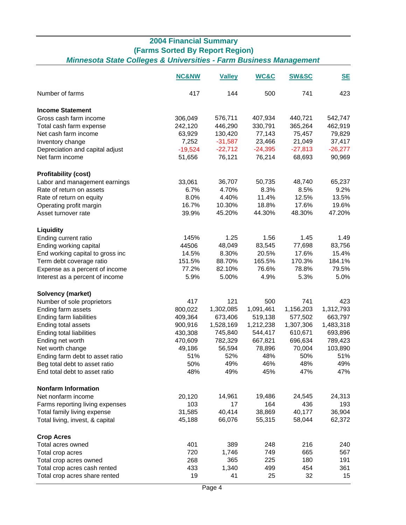## **2004 Financial Summary (Farms Sorted By Report Region)** *Minnesota State Colleges & Universities - Farm Business Management*

|                                  | <b>NC&amp;NW</b> | <b>Valley</b> | <b>WC&amp;C</b> | <b>SW&amp;SC</b> | <b>SE</b> |
|----------------------------------|------------------|---------------|-----------------|------------------|-----------|
| Number of farms                  | 417              | 144           | 500             | 741              | 423       |
| <b>Income Statement</b>          |                  |               |                 |                  |           |
| Gross cash farm income           | 306,049          | 576,711       | 407,934         | 440,721          | 542,747   |
| Total cash farm expense          | 242,120          | 446,290       | 330,791         | 365,264          | 462,919   |
| Net cash farm income             | 63,929           | 130,420       | 77,143          | 75,457           | 79,829    |
| Inventory change                 | 7,252            | $-31,587$     | 23,466          | 21,049           | 37,417    |
| Depreciation and capital adjust  | $-19,524$        | $-22,712$     | $-24,395$       | $-27,813$        | $-26,277$ |
| Net farm income                  | 51,656           | 76,121        | 76,214          | 68,693           | 90,969    |
| <b>Profitability (cost)</b>      |                  |               |                 |                  |           |
| Labor and management earnings    | 33,061           | 36,707        | 50,735          | 48,740           | 65,237    |
| Rate of return on assets         | 6.7%             | 4.70%         | 8.3%            | 8.5%             | 9.2%      |
| Rate of return on equity         | 8.0%             | 4.40%         | 11.4%           | 12.5%            | 13.5%     |
| Operating profit margin          | 16.7%            | 10.30%        | 18.8%           | 17.6%            | 19.6%     |
| Asset turnover rate              | 39.9%            | 45.20%        | 44.30%          | 48.30%           | 47.20%    |
|                                  |                  |               |                 |                  |           |
| Liquidity                        |                  |               |                 |                  |           |
| Ending current ratio             | 145%             | 1.25          | 1.56            | 1.45             | 1.49      |
| Ending working capital           | 44506            | 48,049        | 83,545          | 77,698           | 83,756    |
| End working capital to gross inc | 14.5%            | 8.30%         | 20.5%           | 17.6%            | 15.4%     |
| Term debt coverage ratio         | 151.5%           | 88.70%        | 165.5%          | 170.3%           | 184.1%    |
| Expense as a percent of income   | 77.2%            | 82.10%        | 76.6%           | 78.8%            | 79.5%     |
| Interest as a percent of income  | 5.9%             | 5.00%         | 4.9%            | 5.3%             | 5.0%      |
| Solvency (market)                |                  |               |                 |                  |           |
| Number of sole proprietors       | 417              | 121           | 500             | 741              | 423       |
| Ending farm assets               | 800,022          | 1,302,085     | 1,091,461       | 1,156,203        | 1,312,793 |
| Ending farm liabilities          | 409,364          | 673,406       | 519,138         | 577,502          | 663,797   |
| Ending total assets              | 900,916          | 1,528,169     | 1,212,238       | 1,307,306        | 1,483,318 |
| Ending total liabilities         | 430,308          | 745,840       | 544,417         | 610,671          | 693,896   |
| Ending net worth                 | 470,609          | 782,329       | 667,821         | 696,634          | 789,423   |
| Net worth change                 | 49,186           | 56,594        | 78,896          | 70,004           | 103,890   |
| Ending farm debt to asset ratio  | 51%              | 52%           | 48%             | 50%              | 51%       |
| Beg total debt to asset ratio    | 50%              | 49%           | 46%             | 48%              | 49%       |
| End total debt to asset ratio    | 48%              | 49%           | 45%             | 47%              | 47%       |
| <b>Nonfarm Information</b>       |                  |               |                 |                  |           |
| Net nonfarm income               | 20,120           | 14,961        | 19,486          | 24,545           | 24,313    |
| Farms reporting living expenses  | 103              | 17            | 164             | 436              | 193       |
| Total family living expense      | 31,585           | 40,414        | 38,869          | 40,177           | 36,904    |
| Total living, invest, & capital  | 45,188           | 66,076        | 55,315          | 58,044           | 62,372    |
| <b>Crop Acres</b>                |                  |               |                 |                  |           |
| Total acres owned                | 401              | 389           | 248             | 216              | 240       |
| Total crop acres                 | 720              | 1,746         | 749             | 665              | 567       |
| Total crop acres owned           | 268              | 365           | 225             | 180              | 191       |
| Total crop acres cash rented     | 433              | 1,340         | 499             | 454              | 361       |
| Total crop acres share rented    | 19               | 41            | 25              | 32               | 15        |